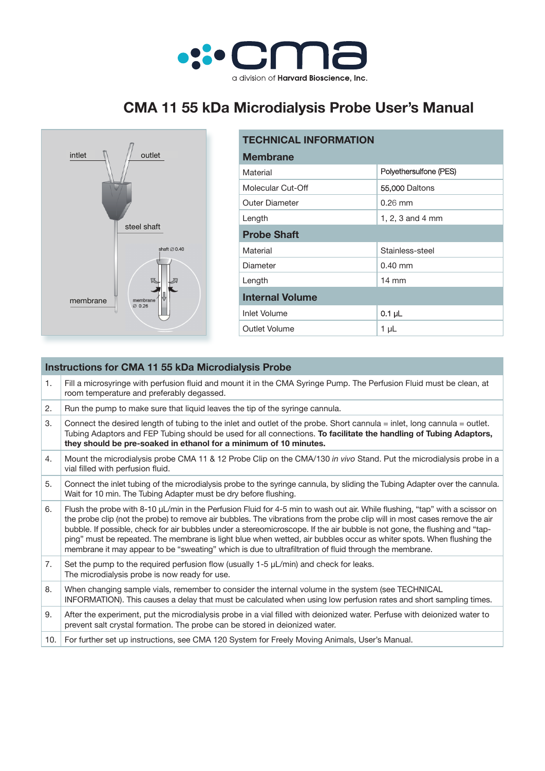

## **CMA 11 55 kDa Microdialysis Probe User's Manual**



| <b>TECHNICAL INFORMATION</b> |                        |  |
|------------------------------|------------------------|--|
| <b>Membrane</b>              |                        |  |
| Material                     | Polyethersulfone (PES) |  |
| Molecular Cut-Off            | 55,000 Daltons         |  |
| <b>Outer Diameter</b>        | $0.26$ mm              |  |
| Length                       | 1, 2, 3 and 4 mm       |  |
| <b>Probe Shaft</b>           |                        |  |
| Material                     | Stainless-steel        |  |
| Diameter                     | $0.40$ mm              |  |
| Length                       | $14 \text{ mm}$        |  |
| <b>Internal Volume</b>       |                        |  |
| Inlet Volume                 | $0.1$ µL               |  |
| Outlet Volume                | 1 µL                   |  |

| <b>Instructions for CMA 11 55 kDa Microdialysis Probe</b> |                                                                                                                                                                                                                                                                                                                                                                                                                                                                                                                                                                                                                            |  |
|-----------------------------------------------------------|----------------------------------------------------------------------------------------------------------------------------------------------------------------------------------------------------------------------------------------------------------------------------------------------------------------------------------------------------------------------------------------------------------------------------------------------------------------------------------------------------------------------------------------------------------------------------------------------------------------------------|--|
| 1.                                                        | Fill a microsyringe with perfusion fluid and mount it in the CMA Syringe Pump. The Perfusion Fluid must be clean, at<br>room temperature and preferably degassed.                                                                                                                                                                                                                                                                                                                                                                                                                                                          |  |
| 2.                                                        | Run the pump to make sure that liquid leaves the tip of the syringe cannula.                                                                                                                                                                                                                                                                                                                                                                                                                                                                                                                                               |  |
| 3.                                                        | Connect the desired length of tubing to the inlet and outlet of the probe. Short cannula = inlet, long cannula = outlet.<br>Tubing Adaptors and FEP Tubing should be used for all connections. To facilitate the handling of Tubing Adaptors,<br>they should be pre-soaked in ethanol for a minimum of 10 minutes.                                                                                                                                                                                                                                                                                                         |  |
| 4.                                                        | Mount the microdialysis probe CMA 11 & 12 Probe Clip on the CMA/130 in vivo Stand. Put the microdialysis probe in a<br>vial filled with perfusion fluid.                                                                                                                                                                                                                                                                                                                                                                                                                                                                   |  |
| 5.                                                        | Connect the inlet tubing of the microdialysis probe to the syringe cannula, by sliding the Tubing Adapter over the cannula.<br>Wait for 10 min. The Tubing Adapter must be dry before flushing.                                                                                                                                                                                                                                                                                                                                                                                                                            |  |
| 6.                                                        | Flush the probe with 8-10 µL/min in the Perfusion Fluid for 4-5 min to wash out air. While flushing, "tap" with a scissor on<br>the probe clip (not the probe) to remove air bubbles. The vibrations from the probe clip will in most cases remove the air<br>bubble. If possible, check for air bubbles under a stereomicroscope. If the air bubble is not gone, the flushing and "tap-<br>ping" must be repeated. The membrane is light blue when wetted, air bubbles occur as whiter spots. When flushing the<br>membrane it may appear to be "sweating" which is due to ultrafiltration of fluid through the membrane. |  |
| 7.                                                        | Set the pump to the required perfusion flow (usually $1-5$ $\mu$ L/min) and check for leaks.<br>The microdialysis probe is now ready for use.                                                                                                                                                                                                                                                                                                                                                                                                                                                                              |  |
| 8.                                                        | When changing sample vials, remember to consider the internal volume in the system (see TECHNICAL<br>INFORMATION). This causes a delay that must be calculated when using low perfusion rates and short sampling times.                                                                                                                                                                                                                                                                                                                                                                                                    |  |
| 9.                                                        | After the experiment, put the microdialysis probe in a vial filled with deionized water. Perfuse with deionized water to<br>prevent salt crystal formation. The probe can be stored in deionized water.                                                                                                                                                                                                                                                                                                                                                                                                                    |  |
| 10.1                                                      | For further set up instructions, see CMA 120 System for Freely Moving Animals, User's Manual.                                                                                                                                                                                                                                                                                                                                                                                                                                                                                                                              |  |